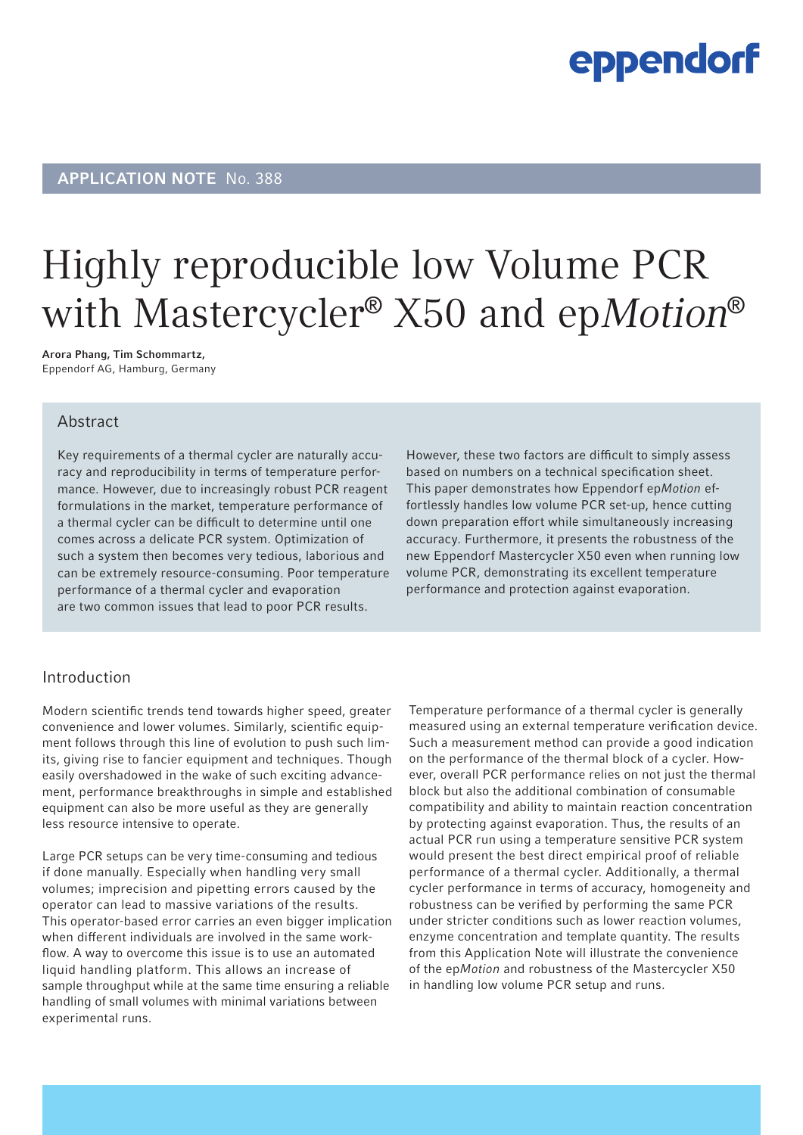### eppendorf

### APPLICATION NOTE No. 388

# Highly reproducible low Volume PCR with Mastercycler<sup>®</sup> X50 and ep*Motion*<sup>®</sup>

Arora Phang, Tim Schommartz, Eppendorf AG, Hamburg, Germany

#### Abstract

Key requirements of a thermal cycler are naturally accuracy and reproducibility in terms of temperature performance. However, due to increasingly robust PCR reagent formulations in the market, temperature performance of a thermal cycler can be difficult to determine until one comes across a delicate PCR system. Optimization of such a system then becomes very tedious, laborious and can be extremely resource-consuming. Poor temperature performance of a thermal cycler and evaporation are two common issues that lead to poor PCR results.

However, these two factors are difficult to simply assess based on numbers on a technical specification sheet. This paper demonstrates how Eppendorf ep*Motion* effortlessly handles low volume PCR set-up, hence cutting down preparation effort while simultaneously increasing accuracy. Furthermore, it presents the robustness of the new Eppendorf Mastercycler X50 even when running low volume PCR, demonstrating its excellent temperature performance and protection against evaporation.

#### Introduction

Modern scientific trends tend towards higher speed, greater convenience and lower volumes. Similarly, scientific equipment follows through this line of evolution to push such limits, giving rise to fancier equipment and techniques. Though easily overshadowed in the wake of such exciting advancement, performance breakthroughs in simple and established equipment can also be more useful as they are generally less resource intensive to operate.

Large PCR setups can be very time-consuming and tedious if done manually. Especially when handling very small volumes; imprecision and pipetting errors caused by the operator can lead to massive variations of the results. This operator-based error carries an even bigger implication when different individuals are involved in the same workflow. A way to overcome this issue is to use an automated liquid handling platform. This allows an increase of sample throughput while at the same time ensuring a reliable handling of small volumes with minimal variations between experimental runs.

Temperature performance of a thermal cycler is generally measured using an external temperature verification device. Such a measurement method can provide a good indication on the performance of the thermal block of a cycler. However, overall PCR performance relies on not just the thermal block but also the additional combination of consumable compatibility and ability to maintain reaction concentration by protecting against evaporation. Thus, the results of an actual PCR run using a temperature sensitive PCR system would present the best direct empirical proof of reliable performance of a thermal cycler. Additionally, a thermal cycler performance in terms of accuracy, homogeneity and robustness can be verified by performing the same PCR under stricter conditions such as lower reaction volumes, enzyme concentration and template quantity. The results from this Application Note will illustrate the convenience of the ep*Motion* and robustness of the Mastercycler X50 in handling low volume PCR setup and runs.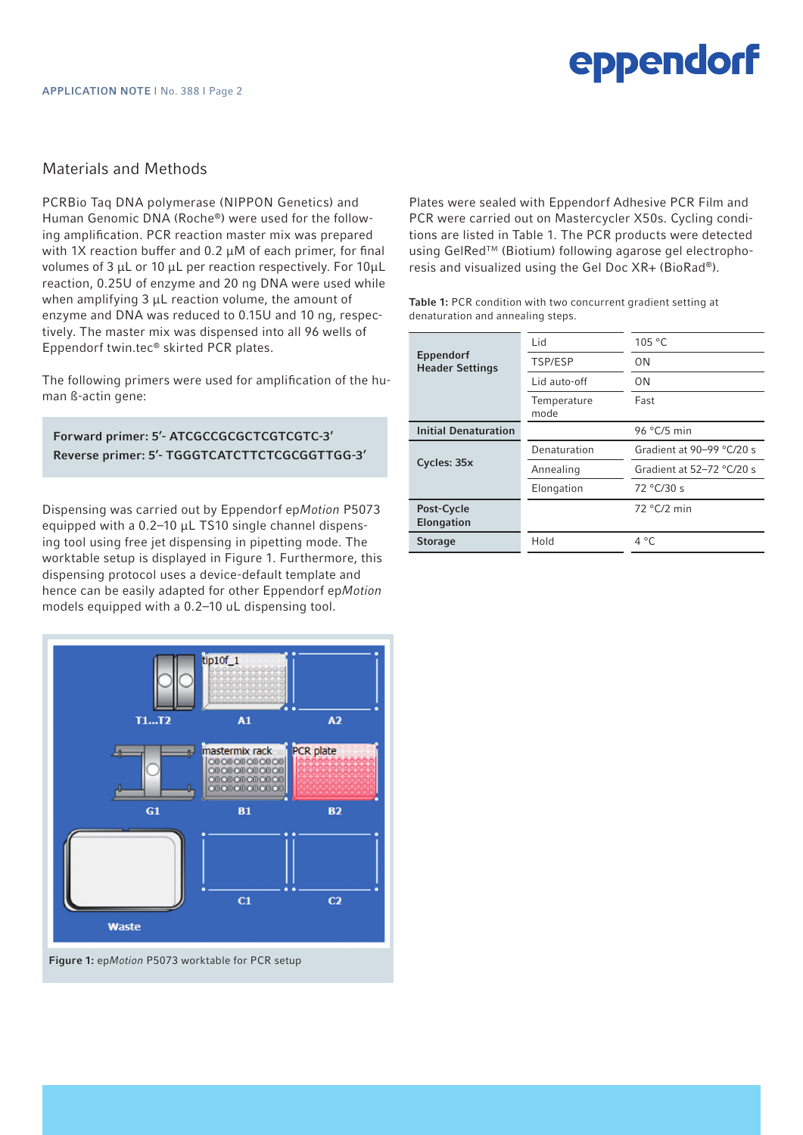# eppendorf

#### Materials and Methods

PCRBio Taq DNA polymerase (NIPPON Genetics) and Human Genomic DNA (Roche®) were used for the following amplification. PCR reaction master mix was prepared with 1X reaction buffer and 0.2  $\mu$ M of each primer, for final volumes of 3 µL or 10 µL per reaction respectively. For 10µL reaction, 0.25U of enzyme and 20 ng DNA were used while when amplifying  $3 \mu L$  reaction volume, the amount of enzyme and DNA was reduced to 0.15U and 10 ng, respectively. The master mix was dispensed into all 96 wells of Eppendorf twin.tec® skirted PCR plates.

The following primers were used for amplification of the human ß-actin gene:

#### Forward primer: 5'- ATCGCCGCGCTCGTCGTC-3' Reverse primer: 5'- TGGGTCATCTTCTCGCGGTTGG-3'

Dispensing was carried out by Eppendorf ep*Motion* P5073 equipped with a 0.2–10 µL TS10 single channel dispensing tool using free jet dispensing in pipetting mode. The worktable setup is displayed in Figure 1. Furthermore, this dispensing protocol uses a device-default template and hence can be easily adapted for other Eppendorf ep*Motion* models equipped with a 0.2–10 uL dispensing tool.



Figure 1: ep*Motion* P5073 worktable for PCR setup

Plates were sealed with Eppendorf Adhesive PCR Film and PCR were carried out on Mastercycler X50s. Cycling conditions are listed in Table 1. The PCR products were detected using GelRed™ (Biotium) following agarose gel electrophoresis and visualized using the Gel Doc XR+ (BioRad®).

Table 1: PCR condition with two concurrent gradient setting at denaturation and annealing steps.

| Eppendorf<br><b>Header Settings</b> | Lid                 | 105 °C                      |
|-------------------------------------|---------------------|-----------------------------|
|                                     |                     |                             |
|                                     | TSP/ESP             | 0N                          |
|                                     | Lid auto-off        | 0N                          |
|                                     | Temperature<br>mode | Fast                        |
| <b>Initial Denaturation</b>         |                     | 96 $°C/5$ min               |
| Cycles: 35x                         | Denaturation        | Gradient at $90-99$ °C/20 s |
|                                     | Annealing           | Gradient at 52-72 °C/20 s   |
|                                     | Elongation          | 72 °C/30 s                  |
| Post-Cycle<br><b>Elongation</b>     |                     | $72 °C/2$ min               |
| <b>Storage</b>                      | Hold                | $4^{\circ}$ C               |
|                                     |                     |                             |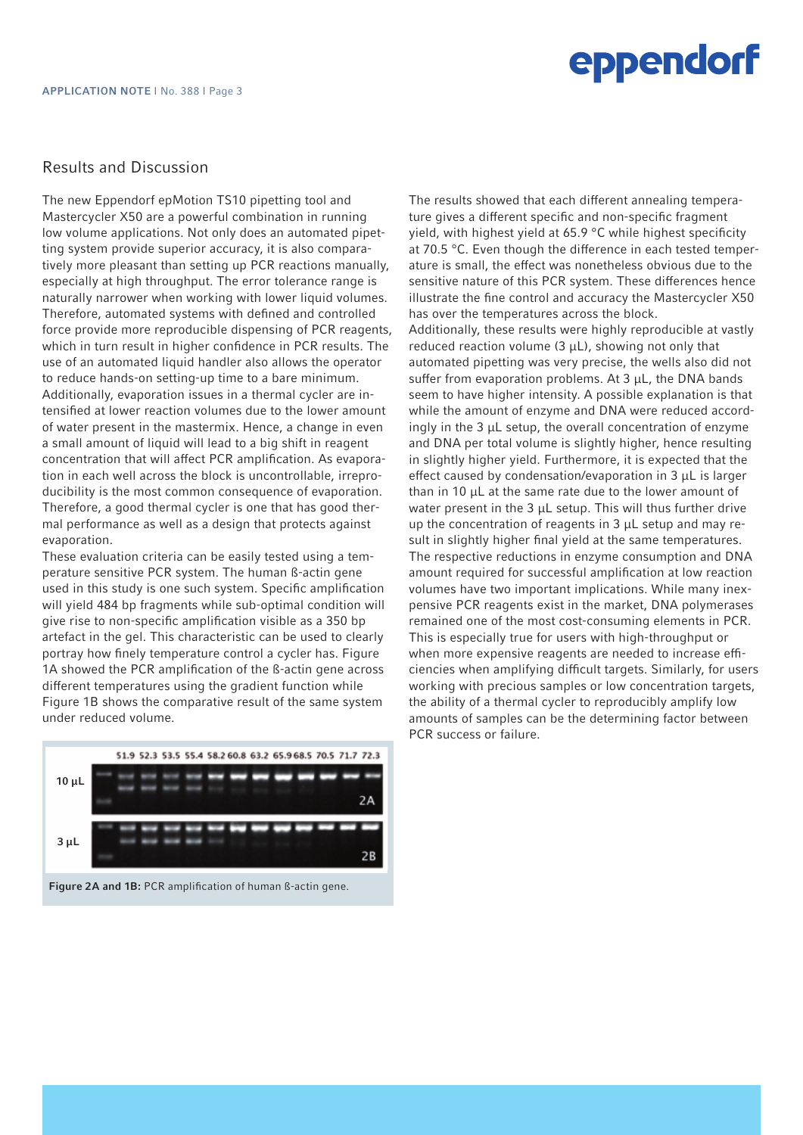#### Results and Discussion

The new Eppendorf epMotion TS10 pipetting tool and Mastercycler X50 are a powerful combination in running low volume applications. Not only does an automated pipetting system provide superior accuracy, it is also comparatively more pleasant than setting up PCR reactions manually, especially at high throughput. The error tolerance range is naturally narrower when working with lower liquid volumes. Therefore, automated systems with defined and controlled force provide more reproducible dispensing of PCR reagents, which in turn result in higher confidence in PCR results. The use of an automated liquid handler also allows the operator to reduce hands-on setting-up time to a bare minimum. Additionally, evaporation issues in a thermal cycler are intensified at lower reaction volumes due to the lower amount of water present in the mastermix. Hence, a change in even a small amount of liquid will lead to a big shift in reagent concentration that will affect PCR amplification. As evaporation in each well across the block is uncontrollable, irreproducibility is the most common consequence of evaporation. Therefore, a good thermal cycler is one that has good thermal performance as well as a design that protects against evaporation.

These evaluation criteria can be easily tested using a temperature sensitive PCR system. The human ß-actin gene used in this study is one such system. Specific amplification will yield 484 bp fragments while sub-optimal condition will give rise to non-specific amplification visible as a 350 bp artefact in the gel. This characteristic can be used to clearly portray how finely temperature control a cycler has. Figure 1A showed the PCR amplification of the ß-actin gene across different temperatures using the gradient function while Figure 1B shows the comparative result of the same system under reduced volume.



Figure 2A and 1B: PCR amplification of human ß-actin gene.

The results showed that each different annealing temperature gives a different specific and non-specific fragment yield, with highest yield at 65.9 °C while highest specificity at 70.5 °C. Even though the difference in each tested temperature is small, the effect was nonetheless obvious due to the sensitive nature of this PCR system. These differences hence illustrate the fine control and accuracy the Mastercycler X50 has over the temperatures across the block. Additionally, these results were highly reproducible at vastly reduced reaction volume  $(3 \mu L)$ , showing not only that automated pipetting was very precise, the wells also did not suffer from evaporation problems. At 3 µL, the DNA bands seem to have higher intensity. A possible explanation is that while the amount of enzyme and DNA were reduced accordingly in the 3 µL setup, the overall concentration of enzyme and DNA per total volume is slightly higher, hence resulting in slightly higher yield. Furthermore, it is expected that the effect caused by condensation/evaporation in 3 µL is larger than in 10 µL at the same rate due to the lower amount of water present in the  $3 \mu$ L setup. This will thus further drive up the concentration of reagents in 3 µL setup and may result in slightly higher final yield at the same temperatures. The respective reductions in enzyme consumption and DNA amount required for successful amplification at low reaction volumes have two important implications. While many inexpensive PCR reagents exist in the market, DNA polymerases remained one of the most cost-consuming elements in PCR. This is especially true for users with high-throughput or when more expensive reagents are needed to increase efficiencies when amplifying difficult targets. Similarly, for users working with precious samples or low concentration targets, the ability of a thermal cycler to reproducibly amplify low amounts of samples can be the determining factor between PCR success or failure.